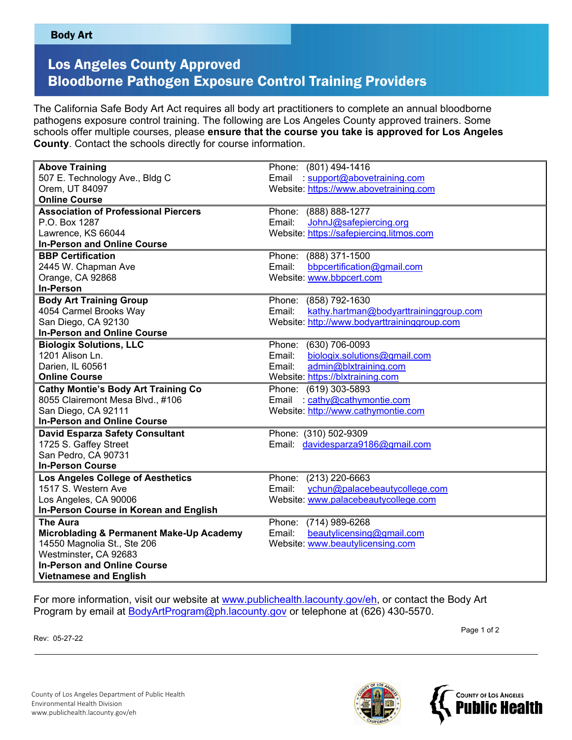## Los Angeles County Approved Bloodborne Pathogen Exposure Control Training Providers

The California Safe Body Art Act requires all body art practitioners to complete an annual bloodborne pathogens exposure control training. The following are Los Angeles County approved trainers. Some schools offer multiple courses, please **ensure that the course you take is approved for Los Angeles County**. Contact the schools directly for course information.

| <b>Above Training</b>                       | Phone: (801) 494-1416                            |
|---------------------------------------------|--------------------------------------------------|
| 507 E. Technology Ave., Bldg C              | Email : support@abovetraining.com                |
| Orem, UT 84097                              | Website: https://www.abovetraining.com           |
| <b>Online Course</b>                        |                                                  |
| <b>Association of Professional Piercers</b> | Phone: (888) 888-1277                            |
| P.O. Box 1287                               | JohnJ@safepiercing.org<br>Email:                 |
| Lawrence, KS 66044                          | Website: https://safepiercing.litmos.com         |
| <b>In-Person and Online Course</b>          |                                                  |
| <b>BBP Certification</b>                    | Phone: (888) 371-1500                            |
| 2445 W. Chapman Ave                         | Email:<br>bbpcertification@gmail.com             |
| Orange, CA 92868                            | Website: www.bbpcert.com                         |
| <b>In-Person</b>                            |                                                  |
| <b>Body Art Training Group</b>              | Phone: (858) 792-1630                            |
| 4054 Carmel Brooks Way                      | Email:<br>kathy.hartman@bodyarttraininggroup.com |
| San Diego, CA 92130                         | Website: http://www.bodyarttraininggroup.com     |
| <b>In-Person and Online Course</b>          |                                                  |
| <b>Biologix Solutions, LLC</b>              | Phone: (630) 706-0093                            |
| 1201 Alison Ln.                             | biologix.solutions@gmail.com<br>Email:           |
| Darien, IL 60561                            | admin@blxtraining.com<br>Email:                  |
| <b>Online Course</b>                        | Website: https://blxtraining.com                 |
| <b>Cathy Montie's Body Art Training Co</b>  | Phone: (619) 303-5893                            |
| 8055 Clairemont Mesa Blvd., #106            | Email : cathy@cathymontie.com                    |
| San Diego, CA 92111                         | Website: http://www.cathymontie.com              |
| <b>In-Person and Online Course</b>          |                                                  |
| <b>David Esparza Safety Consultant</b>      | Phone: (310) 502-9309                            |
| 1725 S. Gaffey Street                       | Email: davidesparza9186@gmail.com                |
| San Pedro, CA 90731                         |                                                  |
| <b>In-Person Course</b>                     |                                                  |
| <b>Los Angeles College of Aesthetics</b>    | Phone: (213) 220-6663                            |
| 1517 S. Western Ave                         | ychun@palacebeautycollege.com<br>Email:          |
| Los Angeles, CA 90006                       | Website: www.palacebeautycollege.com             |
| In-Person Course in Korean and English      |                                                  |
| <b>The Aura</b>                             | Phone: (714) 989-6268                            |
| Microblading & Permanent Make-Up Academy    | beautylicensing@gmail.com<br>Email:              |
| 14550 Magnolia St., Ste 206                 | Website: www.beautylicensing.com                 |
| Westminster, CA 92683                       |                                                  |
| <b>In-Person and Online Course</b>          |                                                  |
| <b>Vietnamese and English</b>               |                                                  |

For more information, visit our website at [www.publichealth.lacounty.gov/eh,](http://www.publichealth.lacounty.gov/eh) or contact the Body Art Program by email at [BodyArtProgram@ph.lacounty.gov](mailto:BodyArtProgram@ph.lacounty.gov) or telephone at (626) 430-5570.

Rev: 05-27-22

 $\,$  Page 1 of 2  $\,$